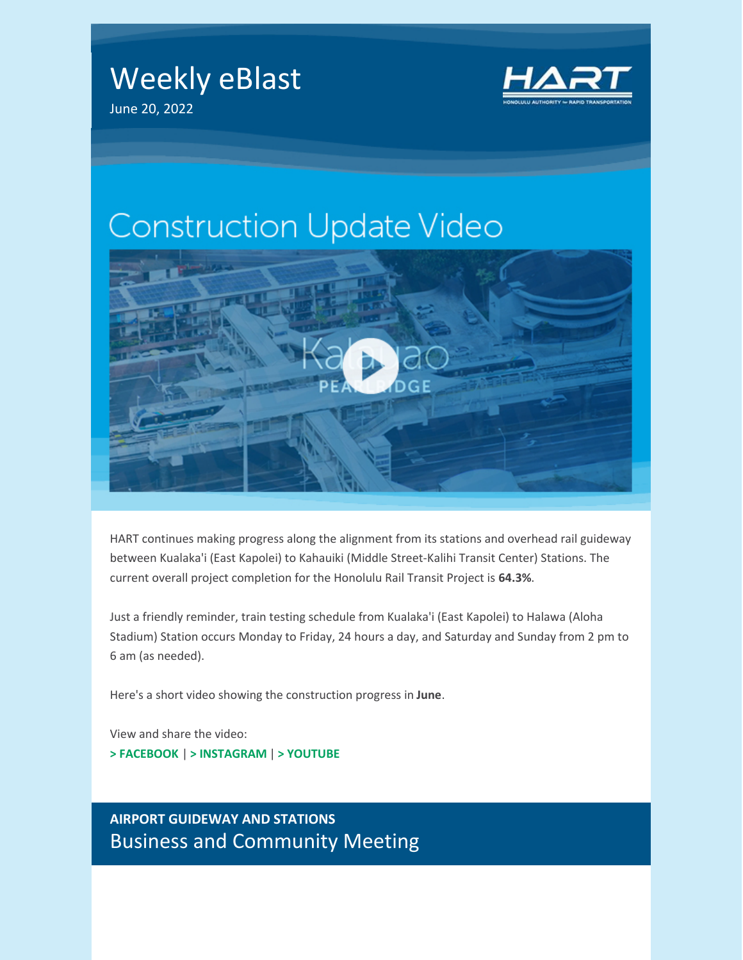Weekly eBlast June 20, 2022



# **Construction Update Video**



HART continues making progress along the alignment from its stations and overhead rail guideway between Kualaka'i (East Kapolei) to Kahauiki (Middle Street-Kalihi Transit Center) Stations. The current overall project completion for the Honolulu Rail Transit Project is **64.3%**.

Just a friendly reminder, train testing schedule from Kualaka'i (East Kapolei) to Halawa (Aloha Stadium) Station occurs Monday to Friday, 24 hours a day, and Saturday and Sunday from 2 pm to 6 am (as needed).

Here's a short video showing the construction progress in **June**.

View and share the video:

**> [FACEBOOK](https://fb.watch/dIRZAtYQ97/)** | **> [INSTAGRAM](https://www.instagram.com/tv/Ce7RBJVpd27/?utm_source=ig_web_copy_link)** | **> [YOUTUBE](https://youtu.be/S02ZMFcYgsk)**

**AIRPORT GUIDEWAY AND STATIONS** Business and Community Meeting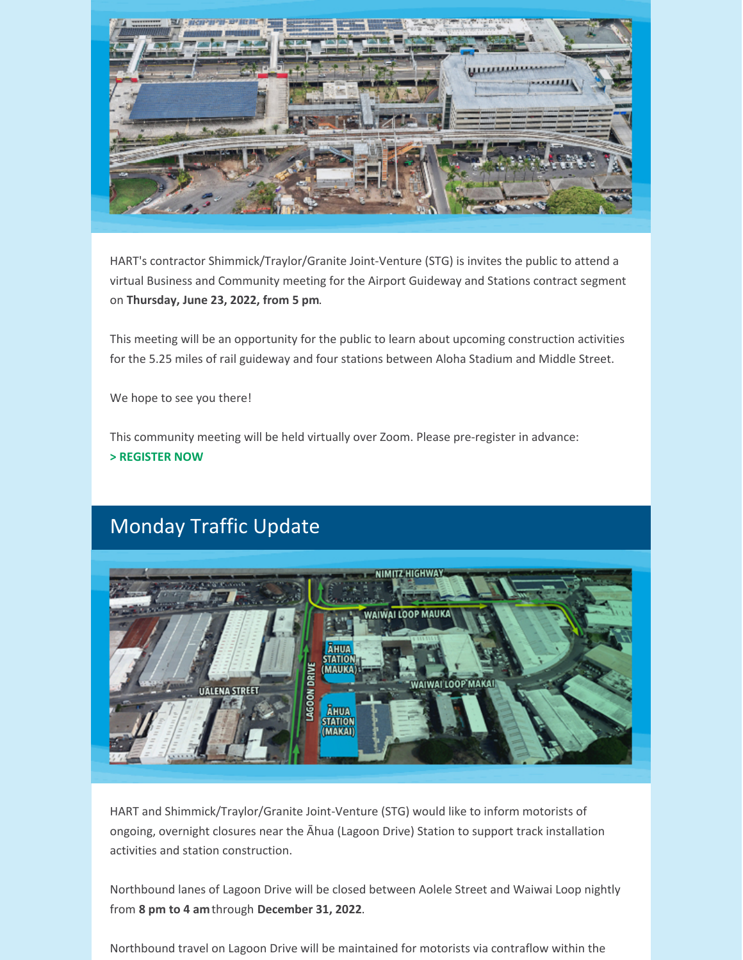

HART's contractor Shimmick/Traylor/Granite Joint-Venture (STG) is invites the public to attend a virtual Business and Community meeting for the Airport Guideway and Stations contract segment on **Thursday, June 23, 2022, from 5 pm**.

This meeting will be an opportunity for the public to learn about upcoming construction activities for the 5.25 miles of rail guideway and four stations between Aloha Stadium and Middle Street.

We hope to see you there!

This community meeting will be held virtually over Zoom. Please pre-register in advance: **> [REGISTER](http://bit.ly/STGMTG623) NOW**

## Monday Traffic Update



HART and Shimmick/Traylor/Granite Joint-Venture (STG) would like to inform motorists of ongoing, overnight closures near the Āhua (Lagoon Drive) Station to support track installation activities and station construction.

Northbound lanes of Lagoon Drive will be closed between Aolele Street and Waiwai Loop nightly from **8 pm to 4 am**through **December 31, 2022**.

Northbound travel on Lagoon Drive will be maintained for motorists via contraflow within the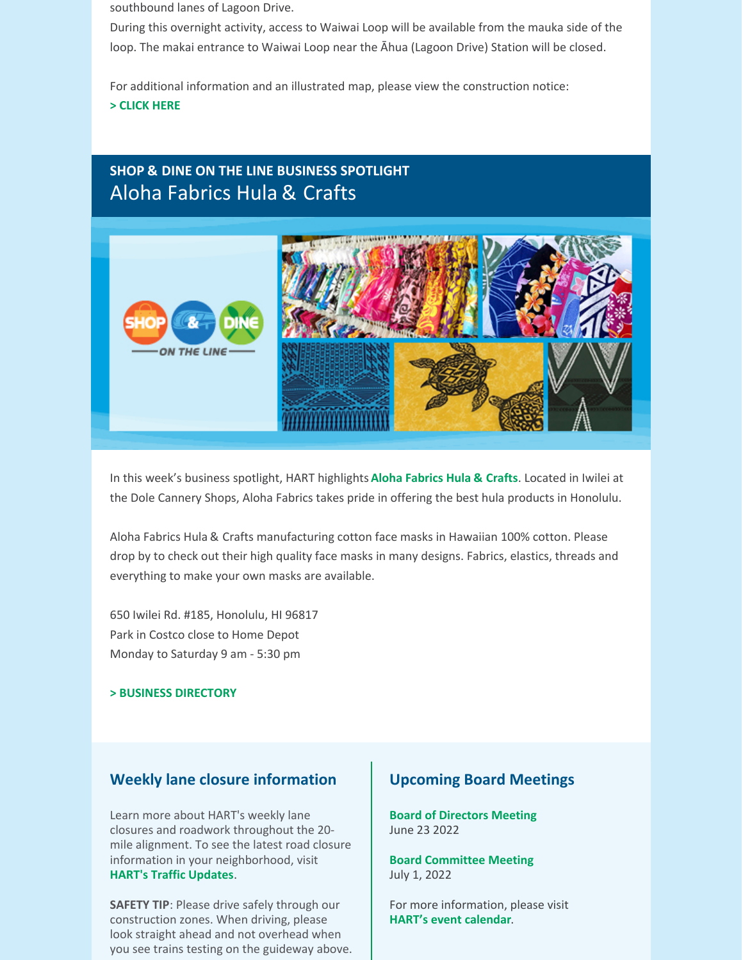southbound lanes of Lagoon Drive.

During this overnight activity, access to Waiwai Loop will be available from the mauka side of the loop. The makai entrance to Waiwai Loop near the Āhua (Lagoon Drive) Station will be closed.

For additional information and an illustrated map, please view the construction notice: **> [CLICK](https://www.dropbox.com/s/fnbzyywiuye2hav/CN 114E Lagoon Drive Contraflow %28Station Construction and Track Installation%29_FINAL.pdf?dl=0) HERE**

### **SHOP & DINE ON THE LINE BUSINESS SPOTLIGHT** Aloha Fabrics Hula & Crafts



In this week's business spotlight, HART highlights **Aloha [Fabrics](http://www.alohafabrics.com/) Hula & Crafts**. Located in Iwilei at the Dole Cannery Shops, Aloha Fabrics takes pride in offering the best hula products in Honolulu.

Aloha Fabrics Hula & Crafts manufacturing cotton face masks in Hawaiian 100% cotton. Please drop by to check out their high quality face masks in many designs. Fabrics, elastics, threads and everything to make your own masks are available.

650 Iwilei Rd. #185, Honolulu, HI 96817 Park in Costco close to Home Depot Monday to Saturday 9 am - 5:30 pm

#### **> BUSINESS [DIRECTORY](https://honolulutransit.org/construction/shop-dine-on-the-line/)**

#### **Weekly lane closure information**

Learn more about HART's weekly lane closures and roadwork throughout the 20 mile alignment. To see the latest road closure information in your neighborhood, visit **HART's Traffic [Updates](https://honolulutransit.org/construction/traffic-updates/)**.

**SAFETY TIP**: Please drive safely through our construction zones. When driving, please look straight ahead and not overhead when you see trains testing on the guideway above.

#### **Upcoming Board Meetings**

**Board of [Directors](https://honolulutransit.org/events/hart-board-of-directors-meeting-20220623/) Meeting** June 23 2022

**Board [Committee](https://honolulutransit.org/events/committee-meeting-20220701/) Meeting** July 1, 2022

For more information, please visit **HART's event [calendar](https://honolulutransit.org/about/events-calendar/)**.